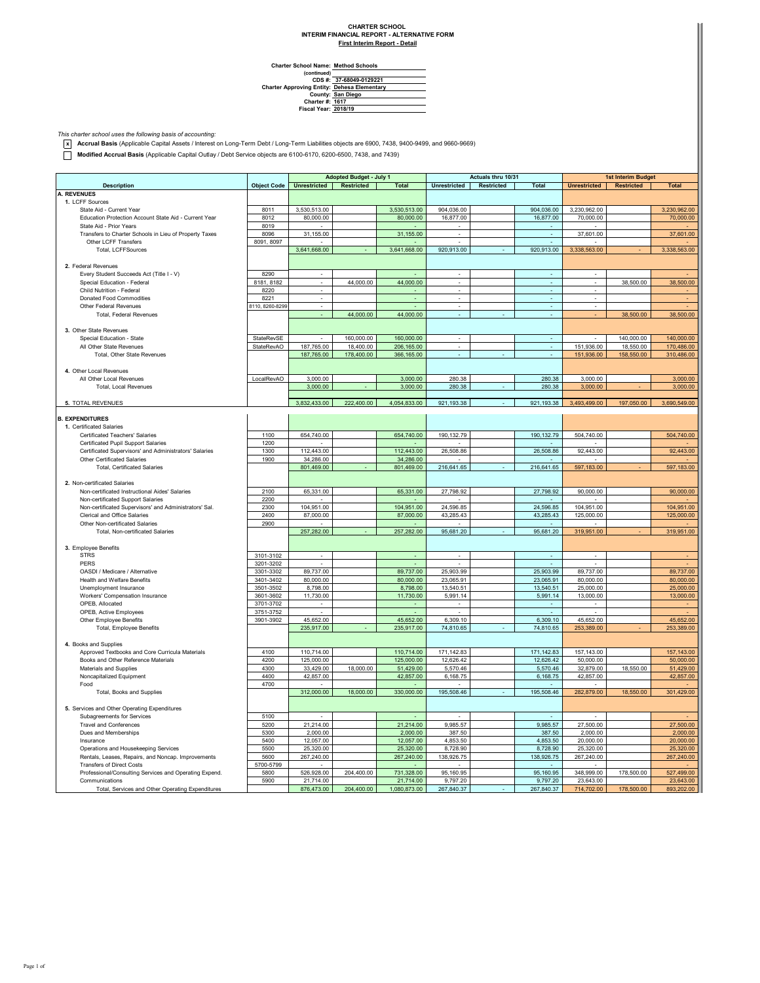## **CHARTER SCHOOL INTERIM FINANCIAL REPORT - ALTERNATIVE FORM**

**First Interim Report - Detail**

| <b>Charter School Name: Method Schools</b> |  |
|--------------------------------------------|--|
| $ $ continued)                             |  |

**(continued) CDS #: Charter Approving Entity: County: Charter #: Fiscal Year: 37-68049-0129221 Dehesa Elementary San Diego 1617 2018/19**

*This charter school uses the following basis of accounting:* **x Accrual Basis** (Applicable Capital Assets / Interest on Long-Term Debt / Long-Term Liabilities objects are 6900, 7438, 9400-9499, and 9660-9669)

**Modified Accrual Basis** (Applicable Capital Outlay / Debt Service objects are 6100-6170, 6200-6500, 7438, and 7439)

|                                                        |                    | <b>Adopted Budget - July 1</b> |            | Actuals thru 10/31 |                          |            | <b>1st Interim Budget</b> |                          |                   |              |
|--------------------------------------------------------|--------------------|--------------------------------|------------|--------------------|--------------------------|------------|---------------------------|--------------------------|-------------------|--------------|
| <b>Description</b>                                     | <b>Object Code</b> | <b>Unrestricted</b>            | Restricted | <b>Total</b>       | Unrestricted             | Restricted | <b>Total</b>              | <b>Unrestricted</b>      | <b>Restricted</b> | <b>Total</b> |
| <b>A. REVENUES</b>                                     |                    |                                |            |                    |                          |            |                           |                          |                   |              |
| 1. LCFF Sources                                        |                    |                                |            |                    |                          |            |                           |                          |                   |              |
| State Aid - Current Year                               | 8011               | 3,530,513.00                   |            | 3,530,513.00       | 904,036.00               |            | 904,036.00                | 3,230,962.00             |                   | 3,230,962.00 |
| Education Protection Account State Aid - Current Year  | 8012               | 80,000.00                      |            | 80,000.00          | 16,877.00                |            | 16,877.00                 | 70,000.00                |                   | 70,000.00    |
| State Aid - Prior Years                                | 8019               |                                |            |                    |                          |            |                           |                          |                   |              |
| Transfers to Charter Schools in Lieu of Property Taxes | 8096               | 31,155.00                      |            | 31,155.00          | ÷.                       |            | ä,                        | 37,601.00                |                   | 37,601.00    |
| Other LCFF Transfers                                   | 8091, 8097         |                                |            |                    |                          |            |                           |                          |                   |              |
| Total, LCFFSources                                     |                    | 3,641,668.00                   |            | 3,641,668.00       | 920,913.00               |            | 920,913.00                | 3,338,563.00             |                   | 3,338,563.00 |
|                                                        |                    |                                |            |                    |                          |            |                           |                          |                   |              |
| 2. Federal Revenues                                    |                    |                                |            |                    |                          |            |                           |                          |                   |              |
|                                                        | 8290               | $\epsilon$                     |            |                    | $\overline{\phantom{a}}$ |            | $\epsilon$                | $\epsilon$               |                   |              |
| Every Student Succeeds Act (Title I - V)               |                    |                                |            |                    |                          |            |                           |                          |                   |              |
| Special Education - Federal                            | 8181, 8182         | $\overline{\phantom{a}}$       | 44,000.00  | 44,000.00          | $\overline{\phantom{a}}$ |            | $\sim$                    | $\overline{\phantom{a}}$ | 38,500.00         | 38,500.00    |
| Child Nutrition - Federal                              | 8220               | $\overline{\phantom{a}}$       |            |                    | $\overline{\phantom{a}}$ |            | $\overline{\phantom{a}}$  | $\overline{\phantom{a}}$ |                   |              |
| Donated Food Commodities                               | 8221               | $\overline{\phantom{a}}$       |            |                    | ٠                        |            | ٠                         | $\overline{\phantom{a}}$ |                   |              |
| Other Federal Revenues                                 | 8110, 8260-8299    | $\sim$                         |            |                    | ×.                       |            | ٠                         | $\sim$                   |                   |              |
| <b>Total, Federal Revenues</b>                         |                    |                                | 44,000.00  | 44,000.00          |                          |            |                           |                          | 38,500.00         | 38,500.00    |
|                                                        |                    |                                |            |                    |                          |            |                           |                          |                   |              |
| 3. Other State Revenues                                |                    |                                |            |                    |                          |            |                           |                          |                   |              |
| Special Education - State                              | StateRevSE         |                                | 160,000.00 | 160,000.00         | $\overline{\phantom{a}}$ |            | $\sim$                    | $\overline{\phantom{a}}$ | 140,000.00        | 140,000.00   |
| All Other State Revenues                               | StateRevAO         | 187,765.00                     | 18,400.00  | 206,165.00         |                          |            | ä,                        | 151,936.00               | 18,550.00         | 170,486.00   |
| Total, Other State Revenues                            |                    | 187,765.00                     | 178,400.00 | 366, 165.00        |                          |            | ä,                        | 151,936.00               | 158,550.00        | 310,486.00   |
|                                                        |                    |                                |            |                    |                          |            |                           |                          |                   |              |
| 4. Other Local Revenues                                |                    |                                |            |                    |                          |            |                           |                          |                   |              |
| All Other Local Revenues                               | LocalRevAO         | 3,000.00                       |            | 3,000.00           | 280.38                   |            | 280.38                    | 3,000.00                 |                   | 3,000.00     |
| <b>Total, Local Revenues</b>                           |                    | 3,000.00                       |            | 3,000.00           | 280.38                   |            | 280.38                    | 3,000.00                 |                   | 3,000.00     |
|                                                        |                    |                                |            |                    |                          |            |                           |                          |                   |              |
| 5. TOTAL REVENUES                                      |                    | 3,832,433.00                   | 222,400.00 | 4,054,833.00       | 921,193.38               |            | 921,193.38                | 3,493,499.00             | 197,050.00        | 3,690,549.00 |
|                                                        |                    |                                |            |                    |                          |            |                           |                          |                   |              |
| <b>B. EXPENDITURES</b>                                 |                    |                                |            |                    |                          |            |                           |                          |                   |              |
| 1. Certificated Salaries                               |                    |                                |            |                    |                          |            |                           |                          |                   |              |
| Certificated Teachers' Salaries                        | 1100               | 654,740.00                     |            | 654,740.00         | 190,132.79               |            | 190,132.79                | 504,740.00               |                   | 504,740.00   |
| Certificated Pupil Support Salaries                    | 1200               |                                |            |                    |                          |            |                           |                          |                   |              |
| Certificated Supervisors' and Administrators' Salaries | 1300               | 112,443.00                     |            | 112,443.00         | 26,508.86                |            | 26.508.86                 | 92,443.00                |                   | 92,443.00    |
| Other Certificated Salaries                            | 1900               | 34,286.00                      |            | 34,286.00          |                          |            |                           |                          |                   |              |
| <b>Total, Certificated Salaries</b>                    |                    | 801,469.00                     |            | 801,469.00         | 216,641.65               |            | 216,641.65                | 597,183.00               |                   | 597,183.00   |
|                                                        |                    |                                |            |                    |                          |            |                           |                          |                   |              |
| 2. Non-certificated Salaries                           |                    |                                |            |                    |                          |            |                           |                          |                   |              |
| Non-certificated Instructional Aides' Salaries         | 2100               | 65,331.00                      |            | 65,331.00          | 27,798.92                |            | 27,798.92                 | 90,000.00                |                   | 90,000.00    |
| Non-certificated Support Salaries                      | 2200               |                                |            |                    |                          |            |                           |                          |                   |              |
|                                                        |                    |                                |            |                    |                          |            |                           |                          |                   |              |
| Non-certificated Supervisors' and Administrators' Sal. | 2300               | 104,951.00                     |            | 104,951.00         | 24,596.85                |            | 24,596.85                 | 104,951.00               |                   | 104,951.00   |
| Clerical and Office Salaries                           | 2400               | 87,000.00                      |            | 87,000.00          | 43,285.43                |            | 43,285.43                 | 125,000.00               |                   | 125,000.00   |
| Other Non-certificated Salaries                        | 2900               |                                |            |                    |                          |            |                           |                          |                   |              |
| Total, Non-certificated Salaries                       |                    | 257,282.00                     |            | 257,282.00         | 95,681.20                |            | 95,681.20                 | 319,951.00               |                   | 319,951.00   |
|                                                        |                    |                                |            |                    |                          |            |                           |                          |                   |              |
| 3. Employee Benefits                                   |                    |                                |            |                    |                          |            |                           |                          |                   |              |
| <b>STRS</b>                                            | 3101-3102          |                                |            |                    |                          |            |                           |                          |                   |              |
| <b>PERS</b>                                            | 3201-3202          |                                |            |                    |                          |            |                           |                          |                   |              |
| OASDI / Medicare / Alternative                         | 3301-3302          | 89,737.00                      |            | 89,737.00          | 25,903.99                |            | 25,903.99                 | 89,737.00                |                   | 89,737.00    |
| Health and Welfare Benefits                            | 3401-3402          | 80,000.00                      |            | 80,000.00          | 23,065.91                |            | 23,065.91                 | 80,000.00                |                   | 80,000.00    |
| Unemployment Insurance                                 | 3501-3502          | 8,798.00                       |            | 8,798.00           | 13,540.51                |            | 13,540.51                 | 25,000.00                |                   | 25,000.00    |
| Workers' Compensation Insurance                        | 3601-3602          | 11,730.00                      |            | 11,730.00          | 5,991.14                 |            | 5,991.14                  | 13,000.00                |                   | 13,000.00    |
| OPFB. Allocated                                        | 3701-3702          |                                |            |                    |                          |            |                           |                          |                   |              |
| OPEB, Active Employees                                 | 3751-3752          |                                |            |                    |                          |            |                           |                          |                   |              |
| Other Employee Benefits                                | 3901-3902          | 45,652.00                      |            | 45,652.00          | 6,309.10                 |            | 6,309.10                  | 45,652.00                |                   | 45,652.00    |
| Total, Employee Benefits                               |                    | 235,917.00                     |            | 235,917.00         | 74,810.65                |            | 74,810.65                 | 253,389.00               |                   | 253,389.00   |
|                                                        |                    |                                |            |                    |                          |            |                           |                          |                   |              |
| 4. Books and Supplies                                  |                    |                                |            |                    |                          |            |                           |                          |                   |              |
| Approved Textbooks and Core Curricula Materials        | 4100               | 110,714.00                     |            | 110,714.00         | 171,142.83               |            | 171,142.83                | 157,143.00               |                   | 157,143.00   |
| Books and Other Reference Materials                    | 4200               | 125,000.00                     |            | 125,000.00         | 12,626.42                |            | 12,626.42                 | 50,000.00                |                   | 50,000.00    |
| Materials and Supplies                                 | 4300               | 33,429.00                      | 18,000.00  | 51,429.00          | 5,570.46                 |            | 5,570.46                  | 32,879.00                | 18,550.00         | 51,429.00    |
| Noncapitalized Equipment                               | 4400               | 42,857.00                      |            | 42,857.00          | 6,168.75                 |            | 6,168.75                  | 42,857.00                |                   | 42,857.00    |
| Food                                                   | 4700               |                                |            |                    |                          |            |                           |                          |                   |              |
| Total, Books and Supplies                              |                    | 312,000.00                     | 18,000.00  | 330,000.00         | 195,508.46               |            | 195,508.46                | 282,879.00               | 18,550.00         | 301,429.00   |
|                                                        |                    |                                |            |                    |                          |            |                           |                          |                   |              |
| 5. Services and Other Operating Expenditures           |                    |                                |            |                    |                          |            |                           |                          |                   |              |
|                                                        |                    |                                |            |                    |                          |            |                           |                          |                   |              |
| Subagreements for Services                             | 5100               |                                |            |                    |                          |            |                           |                          |                   |              |
| <b>Travel and Conferences</b>                          | 5200               | 21,214.00                      |            | 21,214.00          | 9,985.57                 |            | 9,985.57                  | 27,500.00                |                   | 27,500.00    |
| Dues and Memberships                                   | 5300               | 2,000.00                       |            | 2,000.00           | 387.50                   |            | 387.50                    | 2.000.00                 |                   | 2,000.00     |
| Insurance                                              | 5400               | 12,057.00                      |            | 12,057.00          | 4,853.50                 |            | 4,853.50                  | 20,000.00                |                   | 20,000.00    |
| Operations and Housekeeping Services                   | 5500               | 25,320.00                      |            | 25,320.00          | 8,728.90                 |            | 8,728.90                  | 25,320.00                |                   | 25,320.00    |
| Rentals, Leases, Repairs, and Noncap. Improvements     | 5600               | 267,240.00                     |            | 267,240.00         | 138,926.75               |            | 138,926.75                | 267,240.00               |                   | 267,240.00   |
| <b>Transfers of Direct Costs</b>                       | 5700-5799          |                                |            |                    |                          |            |                           |                          |                   |              |
| Professional/Consulting Services and Operating Expend. | 5800               | 526,928.00                     | 204,400.00 | 731,328.00         | 95,160.95                |            | 95,160.95                 | 348,999.00               | 178,500.00        | 527,499.00   |
| Communications                                         | 5900               | 21,714.00                      |            | 21,714.00          | 9.797.20                 |            | 9,797.20                  | 23.643.00                |                   | 23,643.00    |
| Total, Services and Other Operating Expenditures       |                    | 876,473.00                     | 204,400.00 | 1,080,873.00       | 267,840.37               |            | 267,840.37                | 714,702.00               | 178,500.00        | 893,202.00   |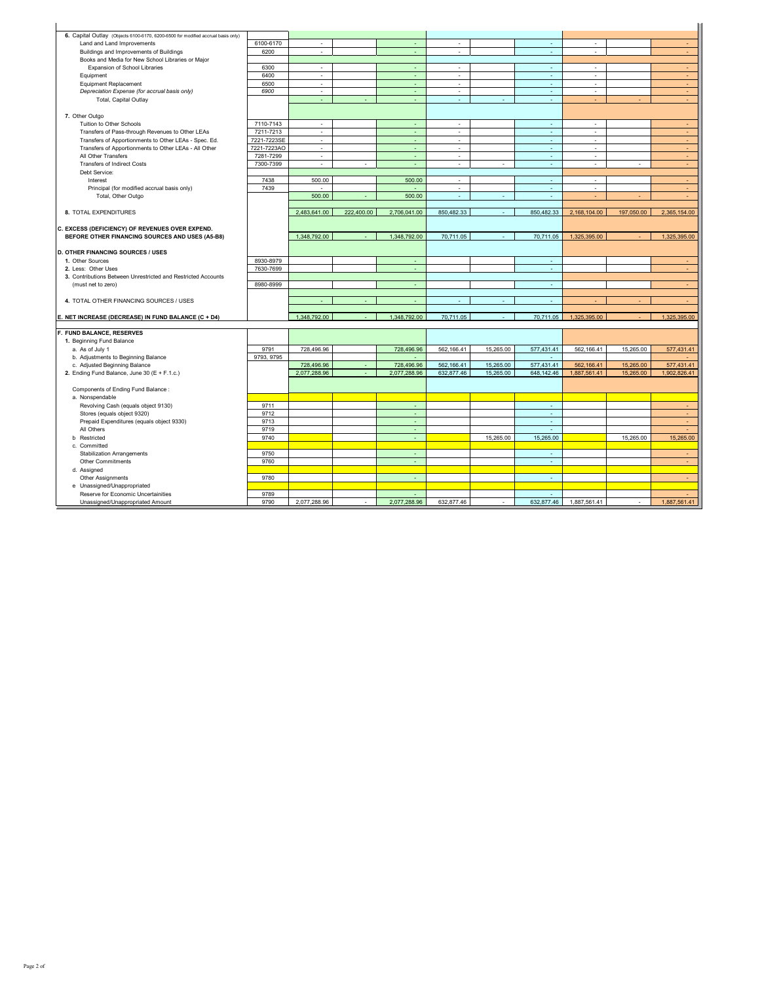| 6. Capital Outlay (Objects 6100-6170, 6200-6500 for modified accrual basis only) |             |                             |            |              |                          |           |            |              |            |              |
|----------------------------------------------------------------------------------|-------------|-----------------------------|------------|--------------|--------------------------|-----------|------------|--------------|------------|--------------|
| Land and Land Improvements                                                       | 6100-6170   | $\overline{\phantom{a}}$    |            |              | ×.                       |           | ٠          | ٠            |            | $\sim$       |
| Buildings and Improvements of Buildings                                          | 6200        | $\mathcal{L}$               |            | ÷.           | ÷.                       |           | ä,         | ×.           |            | $\sim$       |
| Books and Media for New School Libraries or Major                                |             |                             |            |              |                          |           |            |              |            |              |
| Expansion of School Libraries                                                    | 6300        | ×.                          |            | $\sim$       | $\sim$                   |           | ×.         | ×            |            | $\sim$       |
| Equipment                                                                        | 6400        | $\epsilon$                  |            | ÷            | $\epsilon$               |           | $\omega$   | $\epsilon$   |            | ÷.           |
| <b>Equipment Replacement</b>                                                     | 6500        | $\epsilon$                  |            | $\sim$       | $\sim$                   |           | ×          | $\sim$       |            | $\sim$       |
| Depreciation Expense (for accrual basis only)                                    | 6900        | ٠                           |            | ÷            | $\overline{\phantom{a}}$ |           | ×,         | ٠            |            | ÷.           |
| Total, Capital Outlay                                                            |             | $\mathbb{Z}^2$              |            | ÷            | ×,                       | ÷         | ÷.         | ÷            | ä,         | $\sim$       |
|                                                                                  |             |                             |            |              |                          |           |            |              |            |              |
| 7. Other Outgo                                                                   |             |                             |            |              |                          |           |            |              |            |              |
| Tuition to Other Schools                                                         | 7110-7143   | ٠                           |            | ÷            | ٠                        |           | ÷.         | ٠            |            | $\sim$       |
| Transfers of Pass-through Revenues to Other LEAs                                 | 7211-7213   | $\overline{\phantom{a}}$    |            | ÷.           | $\overline{\phantom{a}}$ |           | $\omega$   | ٠            |            | $\sim$       |
| Transfers of Apportionments to Other LEAs - Spec. Ed.                            | 7221-7223SE | $\mathcal{L}_{\mathcal{A}}$ |            |              | ä,                       |           | ä,         |              |            | ÷.           |
| Transfers of Apportionments to Other LEAs - All Other                            | 7221-7223AO | $\sim$                      |            | ÷            | $\sim$                   |           | ×          | ٠            |            | ÷.           |
| All Other Transfers                                                              | 7281-7299   | $\mathbf{r}$                |            | ÷.           | ÷.                       |           | ÷.         | ×.           |            | $\sim$       |
| <b>Transfers of Indirect Costs</b>                                               | 7300-7399   | $\epsilon$                  |            | ÷            | ÷.                       | ÷         | $\omega$   | $\sim$       | ×          | $\sim$       |
| Debt Service:                                                                    |             |                             |            |              |                          |           |            |              |            |              |
| Interest                                                                         | 7438        | 500.00                      |            | 500.00       | ×,                       |           | ×          | ×            |            | $\sim$       |
| Principal (for modified accrual basis only)                                      | 7439        | ÷.                          |            | $\sim$       | $\mathbf{r}$             |           | $\omega$   | ×.           |            | ×.           |
| Total, Other Outgo                                                               |             | 500.00                      |            | 500.00       |                          |           |            |              |            |              |
|                                                                                  |             |                             |            |              |                          |           |            |              |            |              |
| 8. TOTAL EXPENDITURES                                                            |             | 2,483,641.00                | 222,400.00 | 2,706,041.00 | 850,482.33               |           | 850,482.33 | 2,168,104.00 | 197,050.00 | 2,365,154.00 |
|                                                                                  |             |                             |            |              |                          |           |            |              |            |              |
| C. EXCESS (DEFICIENCY) OF REVENUES OVER EXPEND.                                  |             |                             |            |              |                          |           |            |              |            |              |
| BEFORE OTHER FINANCING SOURCES AND USES (A5-B8)                                  |             | 1.348.792.00                |            | 1.348.792.00 | 70.711.05                | ÷         | 70.711.05  | 1,325,395.00 |            | 1,325,395.00 |
|                                                                                  |             |                             |            |              |                          |           |            |              |            |              |
| <b>D. OTHER FINANCING SOURCES / USES</b>                                         |             |                             |            |              |                          |           |            |              |            |              |
| 1. Other Sources                                                                 | 8930-8979   |                             |            | ÷.           |                          |           | ÷          |              |            |              |
| 2. Less: Other Uses                                                              | 7630-7699   |                             |            | ÷            |                          |           | $\sim$     |              |            | $\sim$       |
| 3. Contributions Between Unrestricted and Restricted Accounts                    |             |                             |            |              |                          |           |            |              |            |              |
| (must net to zero)                                                               | 8980-8999   |                             |            | $\sim$       |                          |           | ×          |              |            | ÷            |
|                                                                                  |             |                             |            |              |                          |           |            |              |            |              |
| 4. TOTAL OTHER FINANCING SOURCES / USES                                          |             |                             |            |              |                          |           | ٠          |              |            |              |
| E. NET INCREASE (DECREASE) IN FUND BALANCE (C + D4)                              |             | 1,348,792.00                |            | 1,348,792.00 | 70.711.05                |           | 70,711.05  | 1,325,395.00 |            | 1.325.395.00 |
|                                                                                  |             |                             |            |              |                          |           |            |              |            |              |
| F. FUND BALANCE, RESERVES                                                        |             |                             |            |              |                          |           |            |              |            |              |
| 1. Beginning Fund Balance                                                        |             |                             |            |              |                          |           |            |              |            |              |
| a. As of July 1                                                                  | 9791        | 728,496.96                  |            | 728,496.96   | 562,166.41               | 15,265.00 | 577,431.41 | 562,166.41   | 15,265.00  | 577,431.41   |
| b. Adjustments to Beginning Balance                                              | 9793, 9795  |                             |            |              |                          |           | ÷.         |              |            | ÷            |
| c. Adjusted Beginning Balance                                                    |             | 728,496.96                  |            | 728,496.96   | 562,166.41               | 15,265.00 | 577.431.41 | 562, 166.41  | 15,265.00  | 577,431.41   |
| 2. Ending Fund Balance, June 30 (E + F.1.c.)                                     |             | 2,077,288.96                |            | 2,077,288.96 | 632,877.46               | 15,265.00 | 648,142.46 | 1,887,561.41 | 15,265.00  | 1,902,826.41 |
|                                                                                  |             |                             |            |              |                          |           |            |              |            |              |
| Components of Ending Fund Balance :                                              |             |                             |            |              |                          |           |            |              |            |              |
| a. Nonspendable                                                                  |             |                             |            |              |                          |           |            |              |            |              |
| Revolving Cash (equals object 9130)                                              | 9711        |                             |            | ÷            |                          |           | ÷.         |              |            | $\sim$       |
| Stores (equals object 9320)                                                      | 9712        |                             |            | ÷.           |                          |           | ÷.         |              |            | $\omega$     |
| Prepaid Expenditures (equals object 9330)                                        | 9713        |                             |            |              |                          |           | ٠          |              |            |              |
| All Others                                                                       | 9719        |                             |            | ÷.           |                          |           | ÷.         |              |            | ÷            |
| <b>b</b> Restricted                                                              | 9740        |                             |            | ÷.           |                          | 15,265.00 | 15,265.00  |              | 15,265.00  | 15,265,00    |
| c. Committed                                                                     |             |                             |            |              |                          |           |            |              |            |              |
| <b>Stabilization Arrangements</b>                                                | 9750        |                             |            |              |                          |           | ٠          |              |            |              |
| Other Commitments                                                                | 9760        |                             |            |              |                          |           | ÷          |              |            | $\sim$       |
| d. Assigned                                                                      |             |                             |            |              |                          |           |            |              |            |              |
| Other Assignments                                                                | 9780        |                             |            | ÷.           |                          |           | $\sim$     |              |            | $\sim$       |
| e Unassigned/Unappropriated                                                      |             |                             |            |              |                          |           |            |              |            |              |
| Reserve for Economic Uncertainities                                              | 9789        |                             |            |              |                          |           | $\sim$     |              |            | ÷            |
| Unassigned/Unappropriated Amount                                                 | 9790        | 2,077,288.96                | ÷.         | 2,077,288.96 | 632,877.46               | ÷         | 632,877.46 | 1,887,561.41 | ÷          | 1,887,561.41 |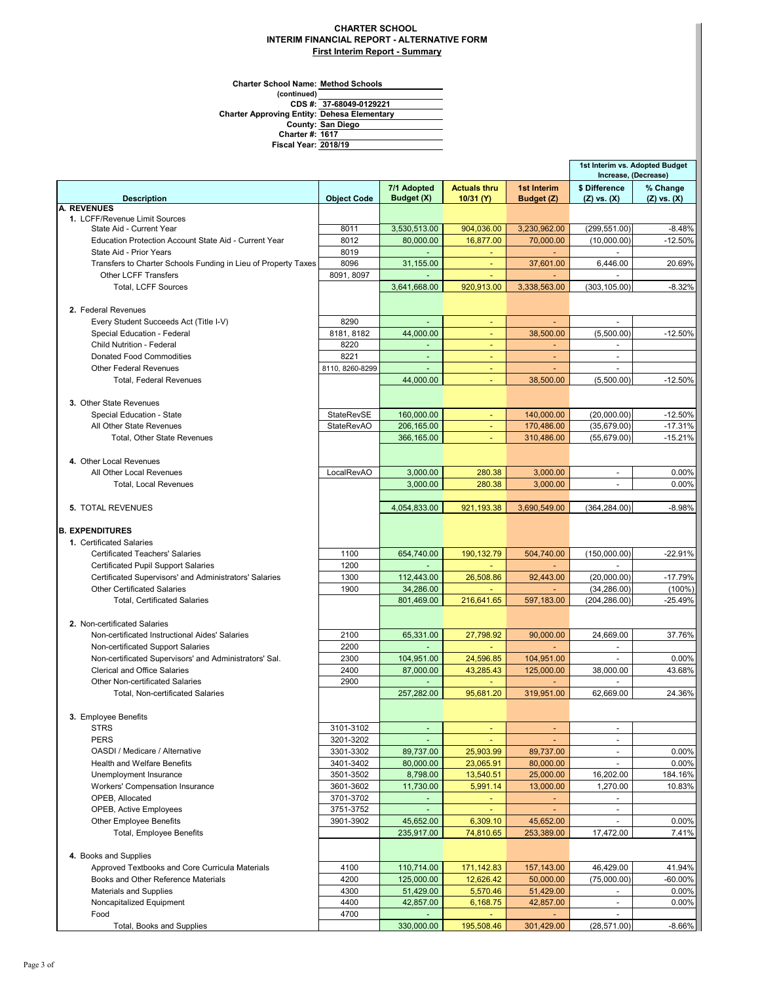## **CHARTER SCHOOL INTERIM FINANCIAL REPORT - ALTERNATIVE FORM First Interim Report - Summary**

**(continued) 37-68049-0129221 Charter School Name: Method Schools 1617 2018/19 Fiscal Year: San Diego Dehesa Elementary County: Charter #: Charter Approving Entity: CDS #:**

|                                                                  |                    |                 |                          |              | 1st Interim vs. Adopted Budget<br>Increase, (Decrease) |                 |
|------------------------------------------------------------------|--------------------|-----------------|--------------------------|--------------|--------------------------------------------------------|-----------------|
|                                                                  |                    | 7/1 Adopted     | <b>Actuals thru</b>      | 1st Interim  | \$ Difference                                          | % Change        |
| <b>Description</b>                                               | <b>Object Code</b> | Budget (X)      | 10/31 (Y)                | Budget (Z)   | $(Z)$ vs. $(X)$                                        | $(Z)$ vs. $(X)$ |
| <b>A. REVENUES</b><br>1. LCFF/Revenue Limit Sources              |                    |                 |                          |              |                                                        |                 |
| State Aid - Current Year                                         | 8011               | 3,530,513.00    | 904,036.00               | 3,230,962.00 | (299, 551.00)                                          | $-8.48%$        |
| Education Protection Account State Aid - Current Year            | 8012               | 80.000.00       | 16,877.00                | 70.000.00    | (10,000.00)                                            | $-12.50%$       |
| State Aid - Prior Years                                          | 8019               | $\sim$          | ÷                        | ٠            |                                                        |                 |
| Transfers to Charter Schools Funding in Lieu of Property Taxes   | 8096               | 31,155.00       | $\blacksquare$           | 37,601.00    | 6,446.00                                               | 20.69%          |
| <b>Other LCFF Transfers</b>                                      | 8091, 8097         | ÷.              |                          |              |                                                        |                 |
| Total, LCFF Sources                                              |                    | 3,641,668.00    | 920,913.00               | 3,338,563.00 | (303, 105.00)                                          | $-8.32%$        |
|                                                                  |                    |                 |                          |              |                                                        |                 |
| 2. Federal Revenues                                              |                    |                 |                          |              |                                                        |                 |
| Every Student Succeeds Act (Title I-V)                           | 8290               |                 | ÷                        |              | $\overline{a}$                                         |                 |
| Special Education - Federal                                      | 8181, 8182         | 44.000.00       | ٠                        | 38,500.00    | (5,500.00)                                             | $-12.50%$       |
| Child Nutrition - Federal                                        | 8220               | $\sim$          | $\blacksquare$           | ٠            | $\blacksquare$                                         |                 |
| <b>Donated Food Commodities</b><br><b>Other Federal Revenues</b> | 8221               | $\blacksquare$  | $\blacksquare$           | $\sim$       | $\sim$<br>$\overline{a}$                               |                 |
| <b>Total, Federal Revenues</b>                                   | 8110, 8260-8299    | ä,<br>44,000.00 | $\omega$                 | 38,500.00    | (5,500.00)                                             | $-12.50%$       |
|                                                                  |                    |                 |                          |              |                                                        |                 |
| 3. Other State Revenues                                          |                    |                 |                          |              |                                                        |                 |
| Special Education - State                                        | StateRevSE         | 160,000.00      | $\blacksquare$           | 140,000.00   | (20.000.00)                                            | $-12.50%$       |
| All Other State Revenues                                         | <b>StateRevAO</b>  | 206,165.00      |                          | 170,486.00   | (35,679.00)                                            | $-17.31%$       |
| Total, Other State Revenues                                      |                    | 366,165.00      | $\blacksquare$           | 310,486.00   | (55, 679.00)                                           | $-15.21%$       |
|                                                                  |                    |                 |                          |              |                                                        |                 |
| 4. Other Local Revenues                                          |                    |                 |                          |              |                                                        |                 |
| All Other Local Revenues                                         | LocalRevAO         | 3,000.00        | 280.38                   | 3,000.00     | $\blacksquare$                                         | 0.00%           |
| Total, Local Revenues                                            |                    | 3.000.00        | 280.38                   | 3.000.00     |                                                        | 0.00%           |
|                                                                  |                    |                 |                          |              |                                                        |                 |
| <b>5. TOTAL REVENUES</b>                                         |                    | 4,054,833.00    | 921,193.38               | 3,690,549.00 | (364, 284.00)                                          | $-8.98%$        |
|                                                                  |                    |                 |                          |              |                                                        |                 |
| <b>B. EXPENDITURES</b>                                           |                    |                 |                          |              |                                                        |                 |
| 1. Certificated Salaries                                         |                    |                 |                          |              |                                                        |                 |
| <b>Certificated Teachers' Salaries</b>                           | 1100               | 654,740.00      | 190,132.79               | 504,740.00   | (150,000.00)                                           | $-22.91%$       |
| Certificated Pupil Support Salaries                              | 1200               | ÷.              |                          | u.           | $\overline{a}$                                         |                 |
| Certificated Supervisors' and Administrators' Salaries           | 1300               | 112,443.00      | 26,508.86                | 92,443.00    | (20,000.00)                                            | $-17.79%$       |
| <b>Other Certificated Salaries</b>                               | 1900               | 34,286.00       |                          |              | (34, 286.00)                                           | $(100\%)$       |
| <b>Total, Certificated Salaries</b>                              |                    | 801,469.00      | 216,641.65               | 597,183.00   | (204, 286.00)                                          | $-25.49%$       |
| 2. Non-certificated Salaries                                     |                    |                 |                          |              |                                                        |                 |
| Non-certificated Instructional Aides' Salaries                   | 2100               | 65,331.00       | 27,798.92                | 90,000.00    | 24,669.00                                              | 37.76%          |
| Non-certificated Support Salaries                                | 2200               | $\blacksquare$  | ÷                        |              | $\blacksquare$                                         |                 |
| Non-certificated Supervisors' and Administrators' Sal.           | 2300               | 104,951.00      | 24,596.85                | 104,951.00   | ÷                                                      | 0.00%           |
| <b>Clerical and Office Salaries</b>                              | 2400               | 87,000.00       | 43,285.43                | 125,000.00   | 38,000.00                                              | 43.68%          |
| Other Non-certificated Salaries                                  | 2900               |                 |                          |              |                                                        |                 |
| <b>Total, Non-certificated Salaries</b>                          |                    | 257,282.00      | 95,681.20                | 319,951.00   | 62.669.00                                              | 24.36%          |
|                                                                  |                    |                 |                          |              |                                                        |                 |
| 3. Employee Benefits                                             |                    |                 |                          |              |                                                        |                 |
| <b>STRS</b>                                                      | 3101-3102          | ٠               | ٠                        | ٠            | $\blacksquare$                                         |                 |
| <b>PERS</b>                                                      | 3201-3202          | ÷               | $\overline{\phantom{a}}$ |              | $\blacksquare$                                         |                 |
| OASDI / Medicare / Alternative                                   | 3301-3302          | 89,737.00       | 25,903.99                | 89,737.00    | $\blacksquare$                                         | 0.00%           |
| <b>Health and Welfare Benefits</b>                               | 3401-3402          | 80,000.00       | 23,065.91                | 80,000.00    | $\blacksquare$                                         | 0.00%           |
| Unemployment Insurance                                           | 3501-3502          | 8,798.00        | 13,540.51                | 25,000.00    | 16,202.00                                              | 184.16%         |
| <b>Workers' Compensation Insurance</b>                           | 3601-3602          | 11,730.00       | 5,991.14                 | 13,000.00    | 1,270.00                                               | 10.83%          |
| OPEB, Allocated                                                  | 3701-3702          |                 |                          |              |                                                        |                 |
| <b>OPEB, Active Employees</b>                                    | 3751-3752          | ÷.              |                          | ٠            | $\overline{\phantom{a}}$                               |                 |
| <b>Other Employee Benefits</b>                                   | 3901-3902          | 45,652.00       | 6,309.10                 | 45,652.00    | ٠                                                      | 0.00%           |
| Total, Employee Benefits                                         |                    | 235,917.00      | 74,810.65                | 253,389.00   | 17,472.00                                              | 7.41%           |
| 4. Books and Supplies                                            |                    |                 |                          |              |                                                        |                 |
| Approved Textbooks and Core Curricula Materials                  | 4100               | 110,714.00      | 171,142.83               | 157,143.00   | 46,429.00                                              | 41.94%          |
| Books and Other Reference Materials                              | 4200               | 125,000.00      | 12,626.42                | 50,000.00    | (75,000.00)                                            | $-60.00%$       |
| <b>Materials and Supplies</b>                                    | 4300               | 51,429.00       | 5,570.46                 | 51,429.00    |                                                        | 0.00%           |
| Noncapitalized Equipment                                         | 4400               | 42,857.00       | 6,168.75                 | 42,857.00    |                                                        | 0.00%           |
| Food                                                             | 4700               | $\blacksquare$  |                          |              | $\overline{\phantom{a}}$                               |                 |
| Total, Books and Supplies                                        |                    | 330,000.00      | 195,508.46               | 301,429.00   | (28, 571.00)                                           | $-8.66%$        |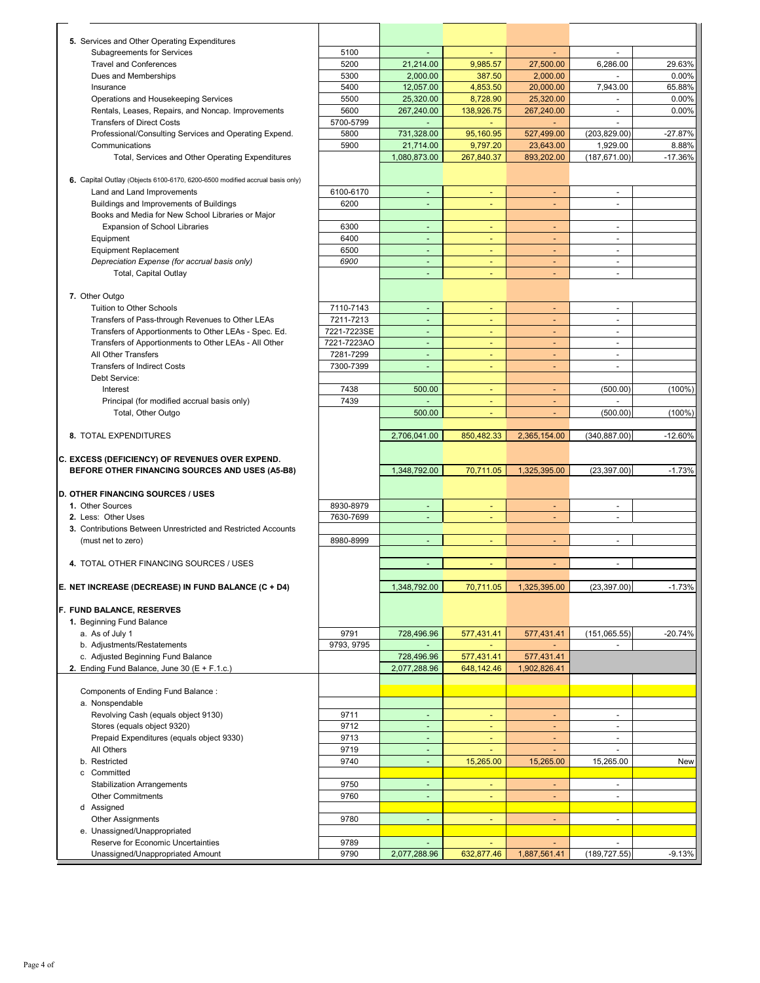| 5. Services and Other Operating Expenditures                                 |              |                                |                          |                          |                          |           |
|------------------------------------------------------------------------------|--------------|--------------------------------|--------------------------|--------------------------|--------------------------|-----------|
| <b>Subagreements for Services</b>                                            | 5100         |                                |                          |                          |                          |           |
| <b>Travel and Conferences</b>                                                | 5200         | 21,214.00                      | 9,985.57                 | 27,500.00                | 6,286.00                 | 29.63%    |
| Dues and Memberships                                                         | 5300         | 2,000.00                       | 387.50                   | 2,000.00                 |                          | 0.00%     |
| Insurance                                                                    | 5400         | 12.057.00                      | 4,853.50                 | 20,000.00                | 7,943.00                 | 65.88%    |
| Operations and Housekeeping Services                                         | 5500         | 25,320.00                      | 8,728.90                 | 25,320.00                | $\overline{\phantom{a}}$ | 0.00%     |
| Rentals, Leases, Repairs, and Noncap. Improvements                           | 5600         |                                |                          |                          | ٠                        | 0.00%     |
|                                                                              |              | 267,240.00                     | 138,926.75               | 267,240.00               |                          |           |
| <b>Transfers of Direct Costs</b>                                             | 5700-5799    | ٠                              | ÷                        |                          | ٠                        |           |
| Professional/Consulting Services and Operating Expend.                       | 5800         | 731,328.00                     | 95,160.95                | 527,499.00               | (203, 829.00)            | $-27.87%$ |
| Communications                                                               | 5900         | 21,714.00                      | 9,797.20                 | 23,643.00                | 1,929.00                 | 8.88%     |
| Total, Services and Other Operating Expenditures                             |              | 1,080,873.00                   | 267,840.37               | 893,202.00               | (187, 671.00)            | $-17.36%$ |
|                                                                              |              |                                |                          |                          |                          |           |
| 6. Capital Outlay (Objects 6100-6170, 6200-6500 modified accrual basis only) |              |                                |                          |                          |                          |           |
| Land and Land Improvements                                                   | 6100-6170    | $\sim$                         | ٠                        | ٠                        | $\blacksquare$           |           |
| Buildings and Improvements of Buildings                                      | 6200         | $\sim$                         | $\overline{\phantom{a}}$ | ٠                        | $\blacksquare$           |           |
| Books and Media for New School Libraries or Major                            |              |                                |                          |                          |                          |           |
| Expansion of School Libraries                                                | 6300         | ÷.                             | Ξ                        | $\blacksquare$           | $\blacksquare$           |           |
| Equipment                                                                    | 6400         | ÷,                             | ٠                        | ٠                        | $\blacksquare$           |           |
| <b>Equipment Replacement</b>                                                 | 6500         | $\mathbb{Z}$                   | ۰                        |                          | ÷                        |           |
| Depreciation Expense (for accrual basis only)                                | 6900         | ÷,                             | ٠                        | ٠                        | $\blacksquare$           |           |
| Total, Capital Outlay                                                        |              | ÷,                             |                          |                          | $\overline{a}$           |           |
|                                                                              |              |                                |                          |                          |                          |           |
| 7. Other Outgo                                                               |              |                                |                          |                          |                          |           |
| Tuition to Other Schools                                                     | 7110-7143    | $\overline{\phantom{a}}$       | ٠                        | ٠                        | $\blacksquare$           |           |
| Transfers of Pass-through Revenues to Other LEAs                             | 7211-7213    | $\blacksquare$                 | ٠                        | ٠                        | $\blacksquare$           |           |
| Transfers of Apportionments to Other LEAs - Spec. Ed.                        | 7221-7223SE  | $\blacksquare$                 | u,                       | $\blacksquare$           | $\blacksquare$           |           |
| Transfers of Apportionments to Other LEAs - All Other                        | 7221-7223AO  | $\overline{\phantom{a}}$       | ٠                        |                          | $\overline{a}$           |           |
| All Other Transfers                                                          |              | $\sim$                         |                          | $\overline{a}$           | $\overline{a}$           |           |
| <b>Transfers of Indirect Costs</b>                                           | 7281-7299    |                                | ٠                        |                          |                          |           |
|                                                                              | 7300-7399    | ٠                              | $\overline{\phantom{a}}$ |                          | $\blacksquare$           |           |
| Debt Service:                                                                |              |                                |                          |                          |                          |           |
| Interest                                                                     | 7438         | 500.00                         | $\overline{\phantom{a}}$ | $\overline{\phantom{a}}$ | (500.00)                 | $(100\%)$ |
| Principal (for modified accrual basis only)                                  | 7439         | $\sim$                         |                          |                          | $\overline{a}$           |           |
| Total, Other Outgo                                                           |              | 500.00                         | ٠                        | ٠                        | (500.00)                 | $(100\%)$ |
|                                                                              |              |                                |                          |                          |                          |           |
| 8. TOTAL EXPENDITURES                                                        |              | 2,706,041.00                   | 850,482.33               | 2,365,154.00             | (340, 887.00)            | $-12.60%$ |
|                                                                              |              |                                |                          |                          |                          |           |
|                                                                              |              |                                |                          |                          |                          |           |
| C. EXCESS (DEFICIENCY) OF REVENUES OVER EXPEND.                              |              |                                |                          |                          |                          |           |
| BEFORE OTHER FINANCING SOURCES AND USES (A5-B8)                              |              | 1,348,792.00                   | 70,711.05                | 1,325,395.00             | (23, 397.00)             | $-1.73%$  |
|                                                                              |              |                                |                          |                          |                          |           |
| D. OTHER FINANCING SOURCES / USES                                            |              |                                |                          |                          |                          |           |
| 1. Other Sources                                                             | 8930-8979    | ٠                              | ٠                        | ٠                        | $\blacksquare$           |           |
| 2. Less: Other Uses                                                          | 7630-7699    | ÷,                             | ٠                        | ٠                        | $\blacksquare$           |           |
| 3. Contributions Between Unrestricted and Restricted Accounts                |              |                                |                          |                          |                          |           |
| (must net to zero)                                                           | 8980-8999    | ÷.                             |                          |                          | $\blacksquare$           |           |
|                                                                              |              |                                |                          |                          |                          |           |
| 4. TOTAL OTHER FINANCING SOURCES / USES                                      |              |                                |                          |                          |                          |           |
|                                                                              |              |                                |                          |                          |                          |           |
|                                                                              |              |                                |                          |                          |                          |           |
| E. NET INCREASE (DECREASE) IN FUND BALANCE (C + D4)                          |              | 1,348,792.00                   | 70,711.05                | 1,325,395.00             | (23, 397.00)             | $-1.73%$  |
|                                                                              |              |                                |                          |                          |                          |           |
| F. FUND BALANCE, RESERVES                                                    |              |                                |                          |                          |                          |           |
| 1. Beginning Fund Balance                                                    |              |                                |                          |                          |                          |           |
| a. As of July 1                                                              | 9791         | 728,496.96                     | 577,431.41               | 577,431.41               | (151, 065.55)            | $-20.74%$ |
| b. Adjustments/Restatements                                                  | 9793, 9795   |                                |                          |                          |                          |           |
| c. Adjusted Beginning Fund Balance                                           |              | 728,496.96                     | 577,431.41               | 577,431.41               |                          |           |
| 2. Ending Fund Balance, June 30 (E + F.1.c.)                                 |              | 2,077,288.96                   | 648,142.46               | 1,902,826.41             |                          |           |
|                                                                              |              |                                |                          |                          |                          |           |
| Components of Ending Fund Balance:                                           |              |                                |                          |                          |                          |           |
| a. Nonspendable                                                              |              |                                |                          |                          |                          |           |
| Revolving Cash (equals object 9130)                                          | 9711         | ÷,                             | ä,                       | ÷.                       | $\blacksquare$           |           |
| Stores (equals object 9320)                                                  | 9712         | $\omega$                       | ä,                       |                          | $\overline{a}$           |           |
| Prepaid Expenditures (equals object 9330)                                    | 9713         | $\omega$                       | ٠                        | ÷                        | $\blacksquare$           |           |
| All Others                                                                   | 9719         | ÷                              |                          |                          |                          |           |
| b. Restricted                                                                | 9740         | ÷.                             | 15,265.00                | 15,265.00                | 15,265.00                | New       |
| c Committed                                                                  |              |                                |                          |                          |                          |           |
| <b>Stabilization Arrangements</b>                                            | 9750         | ٠                              | ٠                        | ÷                        | $\overline{\phantom{a}}$ |           |
| <b>Other Commitments</b>                                                     | 9760         | ٠                              | Ξ                        | Ξ                        | $\blacksquare$           |           |
| d Assigned                                                                   |              |                                |                          |                          |                          |           |
| <b>Other Assignments</b>                                                     | 9780         | $\omega$                       | ٠                        |                          | $\blacksquare$           |           |
| e. Unassigned/Unappropriated                                                 |              |                                |                          |                          |                          |           |
| Reserve for Economic Uncertainties                                           | 9789<br>9790 | $\overline{a}$<br>2,077,288.96 |                          |                          |                          | $-9.13%$  |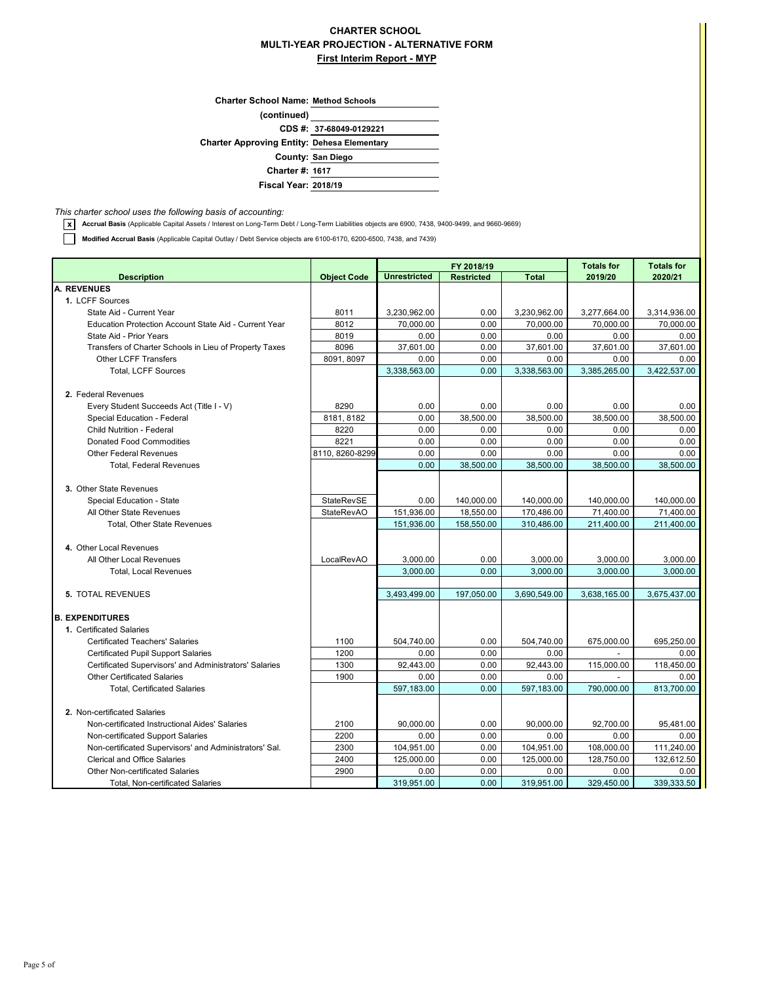## **CHARTER SCHOOL MULTI-YEAR PROJECTION - ALTERNATIVE FORM First Interim Report - MYP**

| <b>Charter School Name: Method Schools</b>         |                         |
|----------------------------------------------------|-------------------------|
| (continued)                                        |                         |
|                                                    | CDS #: 37-68049-0129221 |
| <b>Charter Approving Entity: Dehesa Elementary</b> |                         |
|                                                    | County: San Diego       |
| <b>Charter #: 1617</b>                             |                         |
| <b>Fiscal Year: 2018/19</b>                        |                         |
|                                                    |                         |

*This charter school uses the following basis of accounting:*

**x Accrual Basis** (Applicable Capital Assets / Interest on Long-Term Debt / Long-Term Liabilities objects are 6900, 7438, 9400-9499, and 9660-9669)

**Modified Accrual Basis** (Applicable Capital Outlay / Debt Service objects are 6100-6170, 6200-6500, 7438, and 7439)

|                                                        |                    |                     | FY 2018/19        | <b>Totals for</b> | <b>Totals for</b> |              |
|--------------------------------------------------------|--------------------|---------------------|-------------------|-------------------|-------------------|--------------|
| <b>Description</b>                                     | <b>Object Code</b> | <b>Unrestricted</b> | <b>Restricted</b> | <b>Total</b>      | 2019/20           | 2020/21      |
| A. REVENUES                                            |                    |                     |                   |                   |                   |              |
| 1. LCFF Sources                                        |                    |                     |                   |                   |                   |              |
| State Aid - Current Year                               | 8011               | 3,230,962.00        | 0.00              | 3,230,962.00      | 3,277,664.00      | 3,314,936.00 |
| Education Protection Account State Aid - Current Year  | 8012               | 70.000.00           | 0.00              | 70,000.00         | 70.000.00         | 70.000.00    |
| State Aid - Prior Years                                | 8019               | 0.00                | 0.00              | 0.00              | 0.00              | 0.00         |
| Transfers of Charter Schools in Lieu of Property Taxes | 8096               | 37,601.00           | 0.00              | 37,601.00         | 37,601.00         | 37,601.00    |
| <b>Other LCFF Transfers</b>                            | 8091, 8097         | 0.00                | 0.00              | 0.00              | 0.00              | 0.00         |
| <b>Total, LCFF Sources</b>                             |                    | 3,338,563.00        | 0.00              | 3,338,563.00      | 3,385,265.00      | 3,422,537.00 |
| 2. Federal Revenues                                    |                    |                     |                   |                   |                   |              |
| Every Student Succeeds Act (Title I - V)               | 8290               | 0.00                | 0.00              | 0.00              | 0.00              | 0.00         |
| Special Education - Federal                            | 8181.8182          | 0.00                | 38,500.00         | 38.500.00         | 38.500.00         | 38,500.00    |
| <b>Child Nutrition - Federal</b>                       | 8220               | 0.00                | 0.00              | 0.00              | 0.00              | 0.00         |
| <b>Donated Food Commodities</b>                        | 8221               | 0.00                | 0.00              | 0.00              | 0.00              | 0.00         |
| <b>Other Federal Revenues</b>                          | 8110, 8260-8299    | 0.00                | 0.00              | 0.00              | 0.00              | 0.00         |
| <b>Total, Federal Revenues</b>                         |                    | 0.00                | 38,500.00         | 38,500.00         | 38,500.00         | 38,500.00    |
|                                                        |                    |                     |                   |                   |                   |              |
| 3. Other State Revenues                                |                    |                     |                   |                   |                   |              |
| Special Education - State                              | StateRevSE         | 0.00                | 140,000.00        | 140,000.00        | 140,000.00        | 140,000.00   |
| All Other State Revenues                               | <b>StateRevAO</b>  | 151,936.00          | 18,550.00         | 170,486.00        | 71,400.00         | 71,400.00    |
| Total, Other State Revenues                            |                    | 151,936.00          | 158,550.00        | 310,486.00        | 211,400.00        | 211,400.00   |
|                                                        |                    |                     |                   |                   |                   |              |
| 4. Other Local Revenues                                |                    |                     |                   |                   |                   |              |
| All Other Local Revenues                               | LocalRevAO         | 3,000.00            | 0.00              | 3,000.00          | 3,000.00          | 3,000.00     |
| <b>Total, Local Revenues</b>                           |                    | 3,000.00            | 0.00              | 3,000.00          | 3,000.00          | 3,000.00     |
|                                                        |                    |                     |                   |                   |                   |              |
| 5. TOTAL REVENUES                                      |                    | 3,493,499.00        | 197,050.00        | 3,690,549.00      | 3,638,165.00      | 3,675,437.00 |
| <b>B. EXPENDITURES</b>                                 |                    |                     |                   |                   |                   |              |
| 1. Certificated Salaries                               |                    |                     |                   |                   |                   |              |
| <b>Certificated Teachers' Salaries</b>                 | 1100               | 504,740.00          | 0.00              | 504,740.00        | 675,000.00        | 695,250.00   |
| <b>Certificated Pupil Support Salaries</b>             | 1200               | 0.00                | 0.00              | 0.00              |                   | 0.00         |
| Certificated Supervisors' and Administrators' Salaries | 1300               | 92,443.00           | 0.00              | 92,443.00         | 115,000.00        | 118,450.00   |
| <b>Other Certificated Salaries</b>                     | 1900               | 0.00                | 0.00              | 0.00              |                   | 0.00         |
| <b>Total, Certificated Salaries</b>                    |                    | 597,183.00          | 0.00              | 597,183.00        | 790.000.00        | 813,700.00   |
|                                                        |                    |                     |                   |                   |                   |              |
| 2. Non-certificated Salaries                           |                    |                     |                   |                   |                   |              |
| Non-certificated Instructional Aides' Salaries         | 2100               | 90,000.00           | 0.00              | 90,000.00         | 92,700.00         | 95,481.00    |
| Non-certificated Support Salaries                      | 2200               | 0.00                | 0.00              | 0.00              | 0.00              | 0.00         |
| Non-certificated Supervisors' and Administrators' Sal. | 2300               | 104,951.00          | 0.00              | 104,951.00        | 108,000.00        | 111,240.00   |
| <b>Clerical and Office Salaries</b>                    | 2400               | 125,000.00          | 0.00              | 125,000.00        | 128,750.00        | 132,612.50   |
| <b>Other Non-certificated Salaries</b>                 | 2900               | 0.00                | 0.00              | 0.00              | 0.00              | 0.00         |
| <b>Total, Non-certificated Salaries</b>                |                    | 319,951.00          | 0.00              | 319,951.00        | 329,450.00        | 339,333.50   |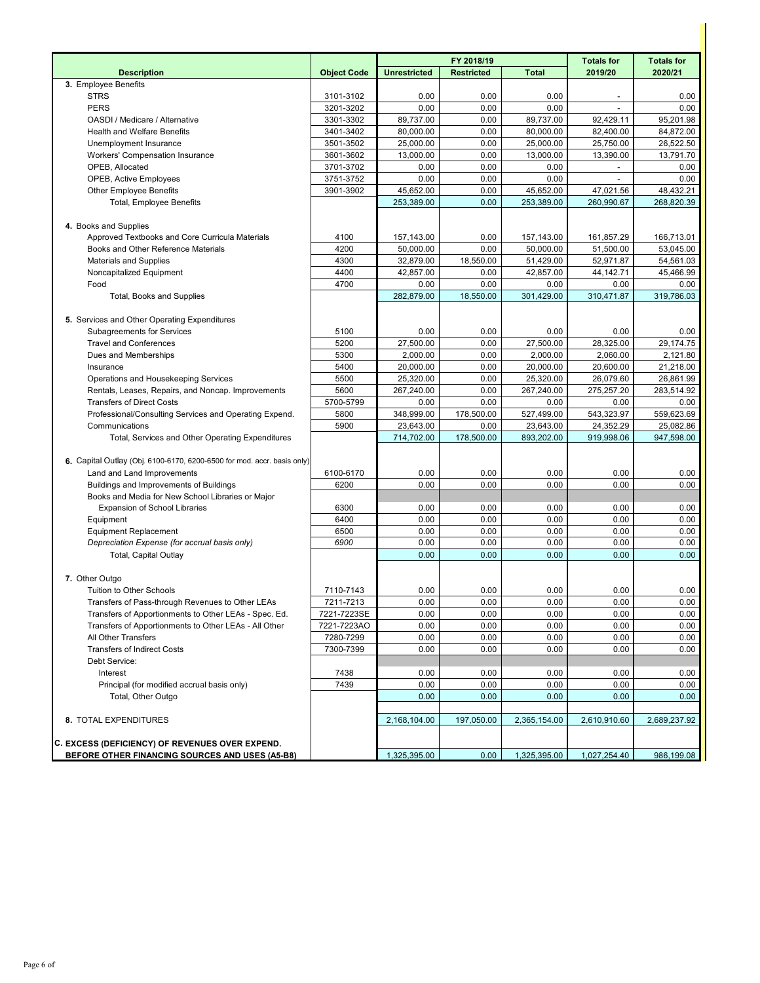|                                                                         |                    |                     | FY 2018/19        | <b>Totals for</b> | <b>Totals for</b> |              |
|-------------------------------------------------------------------------|--------------------|---------------------|-------------------|-------------------|-------------------|--------------|
| <b>Description</b>                                                      | <b>Object Code</b> | <b>Unrestricted</b> | <b>Restricted</b> | <b>Total</b>      | 2019/20           | 2020/21      |
| 3. Employee Benefits                                                    |                    |                     |                   |                   |                   |              |
| <b>STRS</b>                                                             | 3101-3102          | 0.00                | 0.00              | 0.00              |                   | 0.00         |
| <b>PERS</b>                                                             | 3201-3202          | 0.00                | 0.00              | 0.00              |                   | 0.00         |
| OASDI / Medicare / Alternative                                          | 3301-3302          | 89,737.00           | 0.00              | 89,737.00         | 92,429.11         | 95,201.98    |
| <b>Health and Welfare Benefits</b>                                      | 3401-3402          | 80,000.00           | 0.00              | 80,000.00         | 82,400.00         | 84,872.00    |
| Unemployment Insurance                                                  | 3501-3502          | 25,000.00           | 0.00              | 25,000.00         | 25,750.00         | 26,522.50    |
| Workers' Compensation Insurance                                         | 3601-3602          | 13,000.00           | 0.00              | 13,000.00         | 13,390.00         | 13,791.70    |
| OPEB, Allocated                                                         | 3701-3702          | 0.00                | 0.00              | 0.00              |                   | 0.00         |
| <b>OPEB, Active Employees</b>                                           | 3751-3752          | 0.00                | 0.00              | 0.00              |                   | 0.00         |
| <b>Other Employee Benefits</b>                                          | 3901-3902          | 45,652.00           | 0.00              | 45,652.00         | 47,021.56         | 48,432.21    |
| <b>Total, Employee Benefits</b>                                         |                    | 253,389.00          | 0.00              | 253,389.00        | 260,990.67        | 268,820.39   |
|                                                                         |                    |                     |                   |                   |                   |              |
| 4. Books and Supplies                                                   |                    |                     |                   |                   |                   |              |
| Approved Textbooks and Core Curricula Materials                         | 4100               | 157,143.00          | 0.00              | 157,143.00        | 161,857.29        | 166,713.01   |
| Books and Other Reference Materials                                     | 4200               | 50,000.00           | 0.00              | 50,000.00         | 51,500.00         | 53,045.00    |
| <b>Materials and Supplies</b>                                           | 4300               | 32,879.00           | 18,550.00         | 51,429.00         | 52,971.87         | 54,561.03    |
| Noncapitalized Equipment                                                | 4400               | 42,857.00           | 0.00              | 42,857.00         | 44,142.71         | 45,466.99    |
| Food                                                                    | 4700               | 0.00                | 0.00              | 0.00              | 0.00              | 0.00         |
| Total, Books and Supplies                                               |                    | 282,879.00          | 18,550.00         | 301,429.00        | 310,471.87        | 319,786.03   |
|                                                                         |                    |                     |                   |                   |                   |              |
| 5. Services and Other Operating Expenditures                            |                    |                     |                   |                   |                   |              |
| <b>Subagreements for Services</b>                                       | 5100               | 0.00                | 0.00              | 0.00              | 0.00              | 0.00         |
| <b>Travel and Conferences</b>                                           | 5200               | 27,500.00           | 0.00              | 27,500.00         | 28,325.00         | 29,174.75    |
| Dues and Memberships                                                    | 5300               | 2,000.00            | 0.00              | 2,000.00          | 2,060.00          | 2,121.80     |
| Insurance                                                               | 5400               | 20,000.00           | 0.00              | 20,000.00         | 20.600.00         | 21,218.00    |
| Operations and Housekeeping Services                                    | 5500               | 25,320.00           | 0.00              | 25,320.00         | 26,079.60         | 26,861.99    |
| Rentals, Leases, Repairs, and Noncap. Improvements                      | 5600               | 267,240.00          | 0.00              | 267,240.00        | 275,257.20        | 283,514.92   |
| <b>Transfers of Direct Costs</b>                                        | 5700-5799          | 0.00                | 0.00              | 0.00              | 0.00              | 0.00         |
| Professional/Consulting Services and Operating Expend.                  | 5800               | 348,999.00          | 178,500.00        | 527,499.00        | 543,323.97        | 559,623.69   |
| Communications                                                          | 5900               | 23,643.00           | 0.00              | 23,643.00         | 24,352.29         | 25,082.86    |
| Total, Services and Other Operating Expenditures                        |                    | 714,702.00          | 178,500.00        | 893,202.00        | 919,998.06        | 947,598.00   |
| 6. Capital Outlay (Obj. 6100-6170, 6200-6500 for mod. accr. basis only) |                    |                     |                   |                   |                   |              |
| Land and Land Improvements                                              | 6100-6170          | 0.00                | 0.00              | 0.00              | 0.00              | 0.00         |
| Buildings and Improvements of Buildings                                 | 6200               | 0.00                | 0.00              | 0.00              | 0.00              | 0.00         |
| Books and Media for New School Libraries or Major                       |                    |                     |                   |                   |                   |              |
| <b>Expansion of School Libraries</b>                                    | 6300               | 0.00                | 0.00              | 0.00              | 0.00              | 0.00         |
| Equipment                                                               | 6400               | 0.00                | 0.00              | 0.00              | 0.00              | 0.00         |
| <b>Equipment Replacement</b>                                            | 6500               | 0.00                | 0.00              | 0.00              | 0.00              | 0.00         |
| Depreciation Expense (for accrual basis only)                           | 6900               | 0.00                | 0.00              | 0.00              | 0.00              | 0.00         |
| <b>Total, Capital Outlay</b>                                            |                    | 0.00                | 0.00              | 0.00              | 0.00              | 0.00         |
|                                                                         |                    |                     |                   |                   |                   |              |
| 7. Other Outgo                                                          |                    |                     |                   |                   |                   |              |
| Tuition to Other Schools                                                | 7110-7143          | 0.00                | 0.00              | 0.00              | 0.00              | 0.00         |
| Transfers of Pass-through Revenues to Other LEAs                        | 7211-7213          | 0.00                | 0.00              | 0.00              | 0.00              | 0.00         |
| Transfers of Apportionments to Other LEAs - Spec. Ed.                   | 7221-7223SE        | 0.00                | 0.00              | 0.00              | 0.00              | 0.00         |
| Transfers of Apportionments to Other LEAs - All Other                   | 7221-7223AO        | 0.00                | 0.00              | 0.00              | 0.00              | 0.00         |
| All Other Transfers                                                     | 7280-7299          | 0.00                | 0.00              | 0.00              | 0.00              | 0.00         |
| <b>Transfers of Indirect Costs</b>                                      | 7300-7399          | 0.00                | 0.00              | 0.00              | 0.00              | 0.00         |
| Debt Service:                                                           |                    |                     |                   |                   |                   |              |
| Interest                                                                | 7438               | 0.00                | 0.00              | 0.00              | 0.00              | 0.00         |
| Principal (for modified accrual basis only)                             | 7439               | 0.00                | 0.00              | 0.00              | 0.00              | 0.00         |
| Total, Other Outgo                                                      |                    | 0.00                | 0.00              | 0.00              | 0.00              | 0.00         |
|                                                                         |                    |                     |                   |                   |                   |              |
| 8. TOTAL EXPENDITURES                                                   |                    | 2,168,104.00        | 197,050.00        | 2,365,154.00      | 2,610,910.60      | 2,689,237.92 |
|                                                                         |                    |                     |                   |                   |                   |              |
| <b>C. EXCESS (DEFICIENCY) OF REVENUES OVER EXPEND.</b>                  |                    |                     |                   |                   |                   |              |
| BEFORE OTHER FINANCING SOURCES AND USES (A5-B8)                         |                    | 1,325,395.00        | 0.00              | 1,325,395.00      | 1,027,254.40      | 986,199.08   |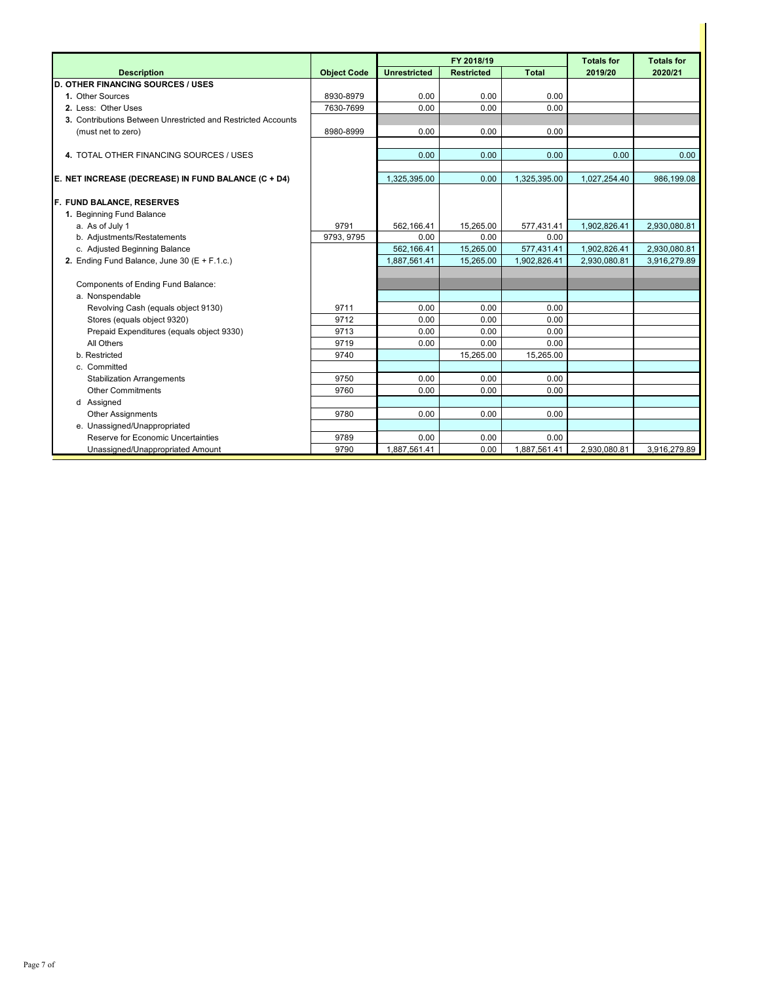|                                                               |                    | FY 2018/19          |                   |              | <b>Totals for</b> | <b>Totals for</b> |
|---------------------------------------------------------------|--------------------|---------------------|-------------------|--------------|-------------------|-------------------|
| <b>Description</b>                                            | <b>Object Code</b> | <b>Unrestricted</b> | <b>Restricted</b> | <b>Total</b> | 2019/20           | 2020/21           |
| <b>D. OTHER FINANCING SOURCES / USES</b>                      |                    |                     |                   |              |                   |                   |
| 1. Other Sources                                              | 8930-8979          | 0.00                | 0.00              | 0.00         |                   |                   |
| 2. Less: Other Uses                                           | 7630-7699          | 0.00                | 0.00              | 0.00         |                   |                   |
| 3. Contributions Between Unrestricted and Restricted Accounts |                    |                     |                   |              |                   |                   |
| (must net to zero)                                            | 8980-8999          | 0.00                | 0.00              | 0.00         |                   |                   |
|                                                               |                    |                     |                   |              |                   |                   |
| 4. TOTAL OTHER FINANCING SOURCES / USES                       |                    | 0.00                | 0.00              | 0.00         | 0.00              | 0.00              |
|                                                               |                    |                     |                   |              |                   |                   |
| E. NET INCREASE (DECREASE) IN FUND BALANCE (C + D4)           |                    | 1,325,395.00        | 0.00              | 1,325,395.00 | 1,027,254.40      | 986,199.08        |
| F. FUND BALANCE, RESERVES                                     |                    |                     |                   |              |                   |                   |
| 1. Beginning Fund Balance                                     |                    |                     |                   |              |                   |                   |
| a. As of July 1                                               | 9791               | 562.166.41          | 15.265.00         | 577,431.41   | 1,902,826.41      | 2,930,080.81      |
| b. Adjustments/Restatements                                   | 9793, 9795         | 0.00                | 0.00              | 0.00         |                   |                   |
| c. Adjusted Beginning Balance                                 |                    | 562,166.41          | 15,265.00         | 577,431.41   | 1,902,826.41      | 2,930,080.81      |
| 2. Ending Fund Balance, June 30 (E + F.1.c.)                  |                    | 1,887,561.41        | 15,265.00         | 1,902,826.41 | 2,930,080.81      | 3,916,279.89      |
|                                                               |                    |                     |                   |              |                   |                   |
| Components of Ending Fund Balance:                            |                    |                     |                   |              |                   |                   |
| a. Nonspendable                                               |                    |                     |                   |              |                   |                   |
| Revolving Cash (equals object 9130)                           | 9711               | 0.00                | 0.00              | 0.00         |                   |                   |
| Stores (equals object 9320)                                   | 9712               | 0.00                | 0.00              | 0.00         |                   |                   |
| Prepaid Expenditures (equals object 9330)                     | 9713               | 0.00                | 0.00              | 0.00         |                   |                   |
| All Others                                                    | 9719               | 0.00                | 0.00              | 0.00         |                   |                   |
| b. Restricted                                                 | 9740               |                     | 15,265.00         | 15,265.00    |                   |                   |
| c. Committed                                                  |                    |                     |                   |              |                   |                   |
| <b>Stabilization Arrangements</b>                             | 9750               | 0.00                | 0.00              | 0.00         |                   |                   |
| <b>Other Commitments</b>                                      | 9760               | 0.00                | 0.00              | 0.00         |                   |                   |
| d Assigned                                                    |                    |                     |                   |              |                   |                   |
| <b>Other Assignments</b>                                      | 9780               | 0.00                | 0.00              | 0.00         |                   |                   |
| e. Unassigned/Unappropriated                                  |                    |                     |                   |              |                   |                   |
| Reserve for Economic Uncertainties                            | 9789               | 0.00                | 0.00              | 0.00         |                   |                   |
| Unassigned/Unappropriated Amount                              | 9790               | 1,887,561.41        | 0.00              | 1,887,561.41 | 2,930,080.81      | 3,916,279.89      |